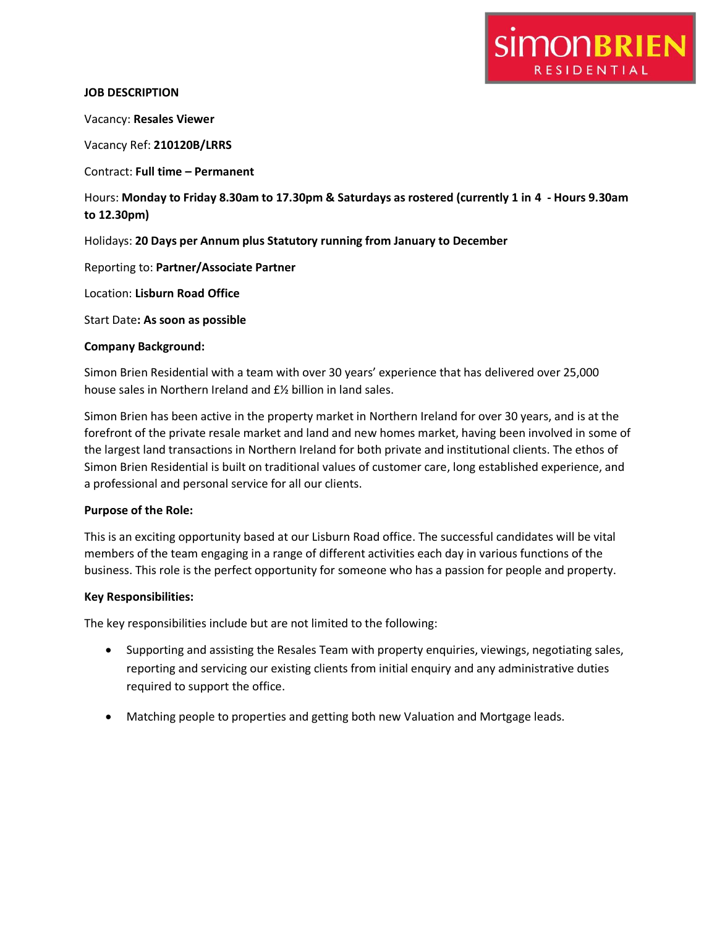# **SIMONBRIEN** RESIDENTIAL

# **JOB DESCRIPTION**

Vacancy: **Resales Viewer**

Vacancy Ref: **210120B/LRRS**

Contract: **Full time – Permanent**

Hours: **Monday to Friday 8.30am to 17.30pm & Saturdays as rostered (currently 1 in 4 - Hours 9.30am to 12.30pm)**

Holidays: **20 Days per Annum plus Statutory running from January to December**

Reporting to: **Partner/Associate Partner**

Location: **Lisburn Road Office**

Start Date**: As soon as possible**

# **Company Background:**

Simon Brien Residential with a team with over 30 years' experience that has delivered over 25,000 house sales in Northern Ireland and £½ billion in land sales.

Simon Brien has been active in the property market in Northern Ireland for over 30 years, and is at the forefront of the private resale market and land and new homes market, having been involved in some of the largest land transactions in Northern Ireland for both private and institutional clients. The ethos of Simon Brien Residential is built on traditional values of customer care, long established experience, and a professional and personal service for all our clients.

#### **Purpose of the Role:**

This is an exciting opportunity based at our Lisburn Road office. The successful candidates will be vital members of the team engaging in a range of different activities each day in various functions of the business. This role is the perfect opportunity for someone who has a passion for people and property.

# **Key Responsibilities:**

The key responsibilities include but are not limited to the following:

- Supporting and assisting the Resales Team with property enquiries, viewings, negotiating sales, reporting and servicing our existing clients from initial enquiry and any administrative duties required to support the office.
- Matching people to properties and getting both new Valuation and Mortgage leads.